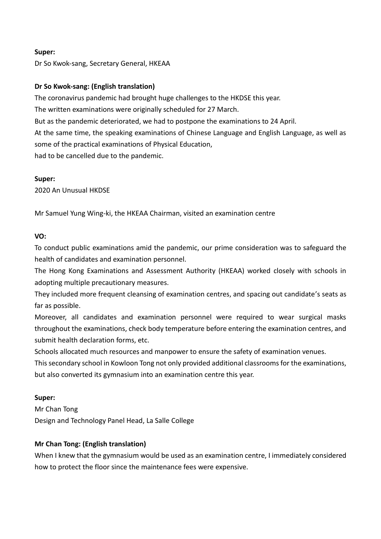### **Super:**

Dr So Kwok-sang, Secretary General, HKEAA

### **Dr So Kwok-sang: (English translation)**

The coronavirus pandemic had brought huge challenges to the HKDSE this year.

The written examinations were originally scheduled for 27 March.

But as the pandemic deteriorated, we had to postpone the examinations to 24 April.

At the same time, the speaking examinations of Chinese Language and English Language, as well as some of the practical examinations of Physical Education,

had to be cancelled due to the pandemic.

### **Super:**

2020 An Unusual HKDSE

Mr Samuel Yung Wing-ki, the HKEAA Chairman, visited an examination centre

## **VO:**

To conduct public examinations amid the pandemic, our prime consideration was to safeguard the health of candidates and examination personnel.

The Hong Kong Examinations and Assessment Authority (HKEAA) worked closely with schools in adopting multiple precautionary measures.

They included more frequent cleansing of examination centres, and spacing out candidate's seats as far as possible.

Moreover, all candidates and examination personnel were required to wear surgical masks throughout the examinations, check body temperature before entering the examination centres, and submit health declaration forms, etc.

Schools allocated much resources and manpower to ensure the safety of examination venues.

This secondary school in Kowloon Tong not only provided additional classrooms for the examinations, but also converted its gymnasium into an examination centre this year.

## **Super:**

Mr Chan Tong Design and Technology Panel Head, La Salle College

## **Mr Chan Tong: (English translation)**

When I knew that the gymnasium would be used as an examination centre, I immediately considered how to protect the floor since the maintenance fees were expensive.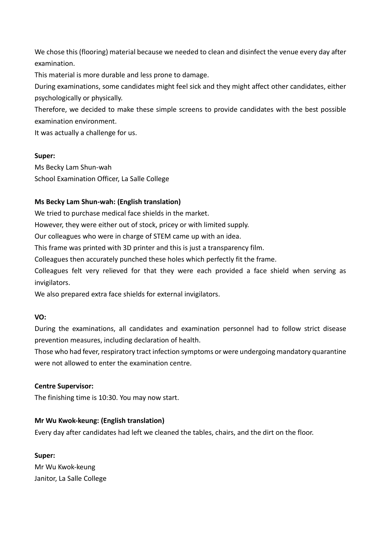We chose this (flooring) material because we needed to clean and disinfect the venue every day after examination.

This material is more durable and less prone to damage.

During examinations, some candidates might feel sick and they might affect other candidates, either psychologically or physically.

Therefore, we decided to make these simple screens to provide candidates with the best possible examination environment.

It was actually a challenge for us.

## **Super:**

Ms Becky Lam Shun-wah School Examination Officer, La Salle College

# **Ms Becky Lam Shun-wah: (English translation)**

We tried to purchase medical face shields in the market.

However, they were either out of stock, pricey or with limited supply.

Our colleagues who were in charge of STEM came up with an idea.

This frame was printed with 3D printer and this is just a transparency film.

Colleagues then accurately punched these holes which perfectly fit the frame.

Colleagues felt very relieved for that they were each provided a face shield when serving as invigilators.

We also prepared extra face shields for external invigilators.

## **VO:**

During the examinations, all candidates and examination personnel had to follow strict disease prevention measures, including declaration of health.

Those who had fever, respiratory tract infection symptoms or were undergoing mandatory quarantine were not allowed to enter the examination centre.

## **Centre Supervisor:**

The finishing time is 10:30. You may now start.

## **Mr Wu Kwok-keung: (English translation)**

Every day after candidates had left we cleaned the tables, chairs, and the dirt on the floor.

**Super:** Mr Wu Kwok-keung Janitor, La Salle College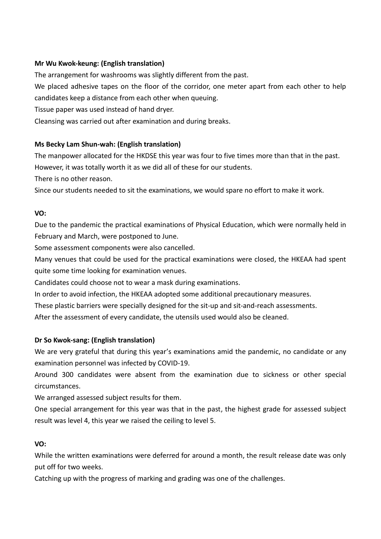# **Mr Wu Kwok-keung: (English translation)**

The arrangement for washrooms was slightly different from the past.

We placed adhesive tapes on the floor of the corridor, one meter apart from each other to help candidates keep a distance from each other when queuing.

Tissue paper was used instead of hand dryer.

Cleansing was carried out after examination and during breaks.

# **Ms Becky Lam Shun-wah: (English translation)**

The manpower allocated for the HKDSE this year was four to five times more than that in the past. However, it was totally worth it as we did all of these for our students.

There is no other reason.

Since our students needed to sit the examinations, we would spare no effort to make it work.

# **VO:**

Due to the pandemic the practical examinations of Physical Education, which were normally held in February and March, were postponed to June.

Some assessment components were also cancelled.

Many venues that could be used for the practical examinations were closed, the HKEAA had spent quite some time looking for examination venues.

Candidates could choose not to wear a mask during examinations.

In order to avoid infection, the HKEAA adopted some additional precautionary measures.

These plastic barriers were specially designed for the sit-up and sit-and-reach assessments.

After the assessment of every candidate, the utensils used would also be cleaned.

# **Dr So Kwok-sang: (English translation)**

We are very grateful that during this year's examinations amid the pandemic, no candidate or any examination personnel was infected by COVID-19.

Around 300 candidates were absent from the examination due to sickness or other special circumstances.

We arranged assessed subject results for them.

One special arrangement for this year was that in the past, the highest grade for assessed subject result was level 4, this year we raised the ceiling to level 5.

# **VO:**

While the written examinations were deferred for around a month, the result release date was only put off for two weeks.

Catching up with the progress of marking and grading was one of the challenges.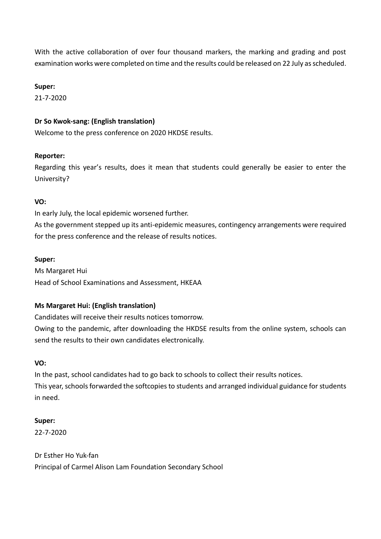With the active collaboration of over four thousand markers, the marking and grading and post examination works were completed on time and the results could be released on 22 July as scheduled.

### **Super:**

21-7-2020

## **Dr So Kwok-sang: (English translation)**

Welcome to the press conference on 2020 HKDSE results.

### **Reporter:**

Regarding this year's results, does it mean that students could generally be easier to enter the University?

### **VO:**

In early July, the local epidemic worsened further.

As the government stepped up its anti-epidemic measures, contingency arrangements were required for the press conference and the release of results notices.

#### **Super:**

Ms Margaret Hui Head of School Examinations and Assessment, HKEAA

## **Ms Margaret Hui: (English translation)**

Candidates will receive their results notices tomorrow.

Owing to the pandemic, after downloading the HKDSE results from the online system, schools can send the results to their own candidates electronically.

## **VO:**

In the past, school candidates had to go back to schools to collect their results notices. This year, schools forwarded the softcopies to students and arranged individual guidance for students in need.

## **Super:**

22-7-2020

Dr Esther Ho Yuk-fan Principal of Carmel Alison Lam Foundation Secondary School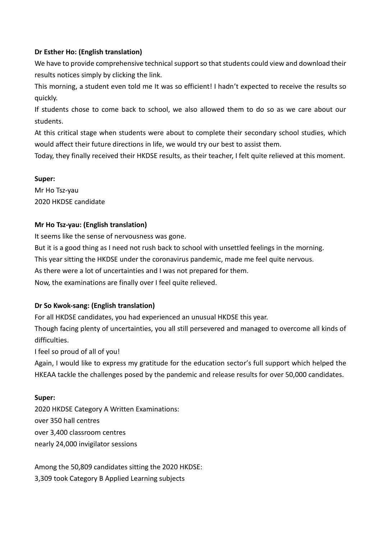# **Dr Esther Ho: (English translation)**

We have to provide comprehensive technical support so that students could view and download their results notices simply by clicking the link.

This morning, a student even told me It was so efficient! I hadn't expected to receive the results so quickly.

If students chose to come back to school, we also allowed them to do so as we care about our students.

At this critical stage when students were about to complete their secondary school studies, which would affect their future directions in life, we would try our best to assist them.

Today, they finally received their HKDSE results, as their teacher, I felt quite relieved at this moment.

## **Super:**

Mr Ho Tsz-yau 2020 HKDSE candidate

## **Mr Ho Tsz-yau: (English translation)**

It seems like the sense of nervousness was gone. But it is a good thing as I need not rush back to school with unsettled feelings in the morning. This year sitting the HKDSE under the coronavirus pandemic, made me feel quite nervous. As there were a lot of uncertainties and I was not prepared for them. Now, the examinations are finally over I feel quite relieved.

## **Dr So Kwok-sang: (English translation)**

For all HKDSE candidates, you had experienced an unusual HKDSE this year. Though facing plenty of uncertainties, you all still persevered and managed to overcome all kinds of difficulties.

I feel so proud of all of you!

Again, I would like to express my gratitude for the education sector's full support which helped the HKEAA tackle the challenges posed by the pandemic and release results for over 50,000 candidates.

## **Super:**

2020 HKDSE Category A Written Examinations: over 350 hall centres over 3,400 classroom centres nearly 24,000 invigilator sessions

Among the 50,809 candidates sitting the 2020 HKDSE: 3,309 took Category B Applied Learning subjects